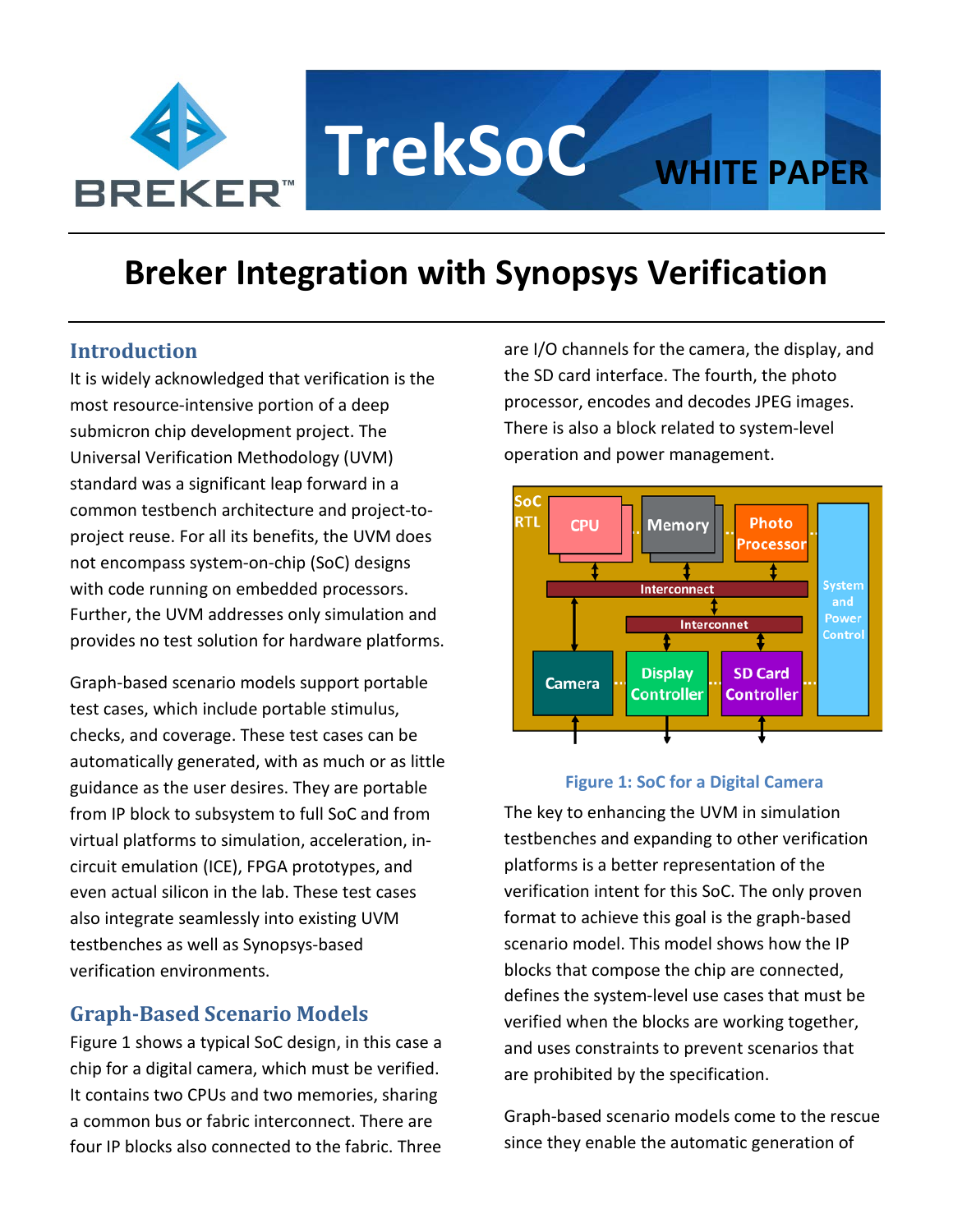

# **Breker Integration with Synopsys Verification**

## **Introduction**

It is widely acknowledged that verification is the most resource-intensive portion of a deep submicron chip development project. The Universal Verification Methodology (UVM) standard was a significant leap forward in a common testbench architecture and project-toproject reuse. For all its benefits, the UVM does not encompass system-on-chip (SoC) designs with code running on embedded processors. Further, the UVM addresses only simulation and provides no test solution for hardware platforms.

Graph-based scenario models support portable test cases, which include portable stimulus, checks, and coverage. These test cases can be automatically generated, with as much or as little guidance as the user desires. They are portable from IP block to subsystem to full SoC and from virtual platforms to simulation, acceleration, incircuit emulation (ICE), FPGA prototypes, and even actual silicon in the lab. These test cases also integrate seamlessly into existing UVM testbenches as well as Synopsys-based verification environments.

## **Graph-Based Scenario Models**

Figure 1 shows a typical SoC design, in this case a chip for a digital camera, which must be verified. It contains two CPUs and two memories, sharing a common bus or fabric interconnect. There are four IP blocks also connected to the fabric. Three are I/O channels for the camera, the display, and the SD card interface. The fourth, the photo processor, encodes and decodes JPEG images. There is also a block related to system-level operation and power management.



#### **Figure 1: SoC for a Digital Camera**

The key to enhancing the UVM in simulation testbenches and expanding to other verification platforms is a better representation of the verification intent for this SoC. The only proven format to achieve this goal is the graph-based scenario model. This model shows how the IP blocks that compose the chip are connected, defines the system-level use cases that must be verified when the blocks are working together, and uses constraints to prevent scenarios that are prohibited by the specification.

Graph-based scenario models come to the rescue since they enable the automatic generation of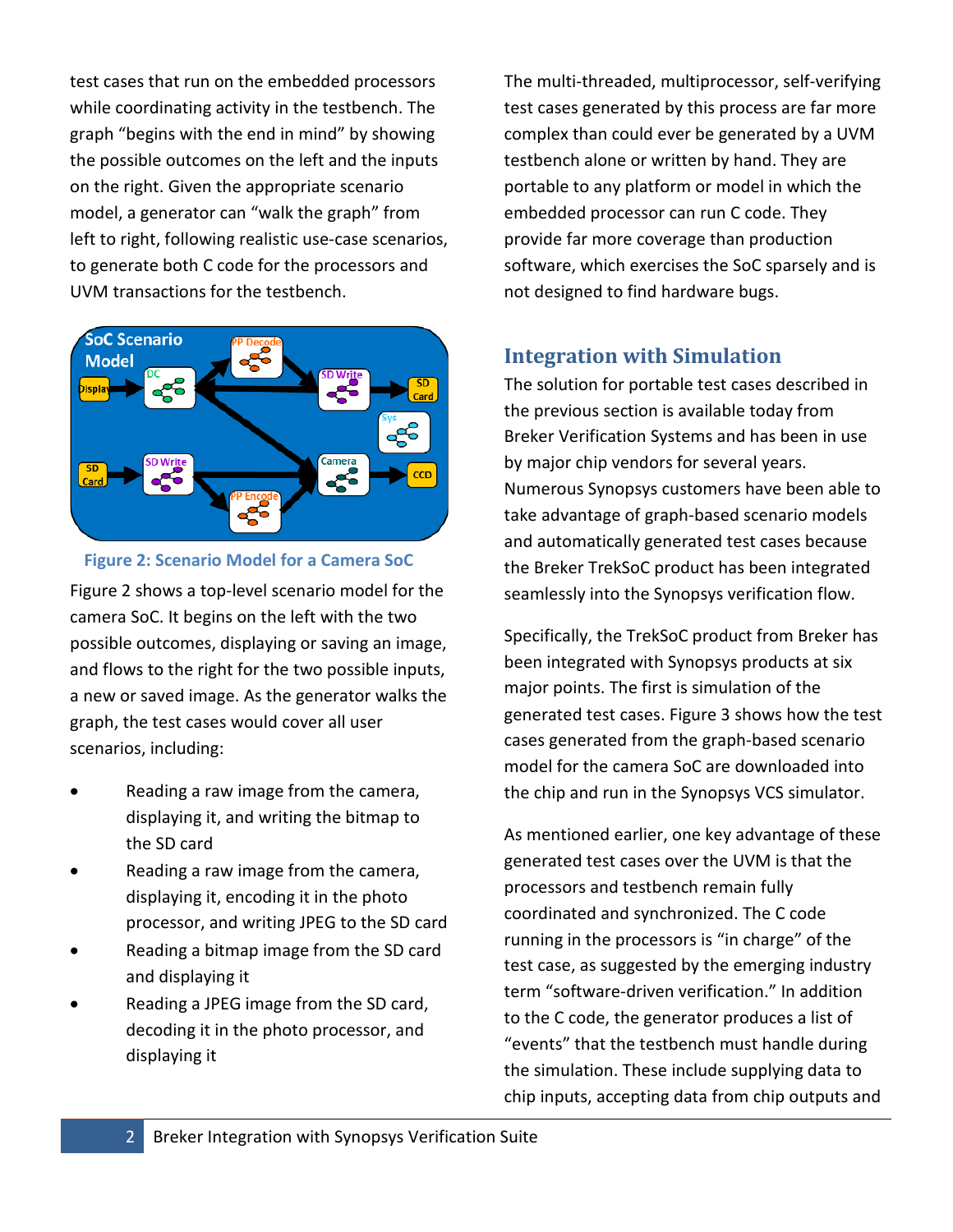test cases that run on the embedded processors while coordinating activity in the testbench. The graph "begins with the end in mind" by showing the possible outcomes on the left and the inputs on the right. Given the appropriate scenario model, a generator can "walk the graph" from left to right, following realistic use-case scenarios, to generate both C code for the processors and UVM transactions for the testbench.



**Figure 2: Scenario Model for a Camera SoC**

Figure 2 shows a top-level scenario model for the camera SoC. It begins on the left with the two possible outcomes, displaying or saving an image, and flows to the right for the two possible inputs, a new or saved image. As the generator walks the graph, the test cases would cover all user scenarios, including:

- Reading a raw image from the camera, displaying it, and writing the bitmap to the SD card
- Reading a raw image from the camera, displaying it, encoding it in the photo processor, and writing JPEG to the SD card
- Reading a bitmap image from the SD card and displaying it
- Reading a JPEG image from the SD card, decoding it in the photo processor, and displaying it

The multi-threaded, multiprocessor, self-verifying test cases generated by this process are far more complex than could ever be generated by a UVM testbench alone or written by hand. They are portable to any platform or model in which the embedded processor can run C code. They provide far more coverage than production software, which exercises the SoC sparsely and is not designed to find hardware bugs.

## **Integration with Simulation**

The solution for portable test cases described in the previous section is available today from Breker Verification Systems and has been in use by major chip vendors for several years. Numerous Synopsys customers have been able to take advantage of graph-based scenario models and automatically generated test cases because the Breker TrekSoC product has been integrated seamlessly into the Synopsys verification flow.

Specifically, the TrekSoC product from Breker has been integrated with Synopsys products at six major points. The first is simulation of the generated test cases. Figure 3 shows how the test cases generated from the graph-based scenario model for the camera SoC are downloaded into the chip and run in the Synopsys VCS simulator.

As mentioned earlier, one key advantage of these generated test cases over the UVM is that the processors and testbench remain fully coordinated and synchronized. The C code running in the processors is "in charge" of the test case, as suggested by the emerging industry term "software-driven verification." In addition to the C code, the generator produces a list of "events" that the testbench must handle during the simulation. These include supplying data to chip inputs, accepting data from chip outputs and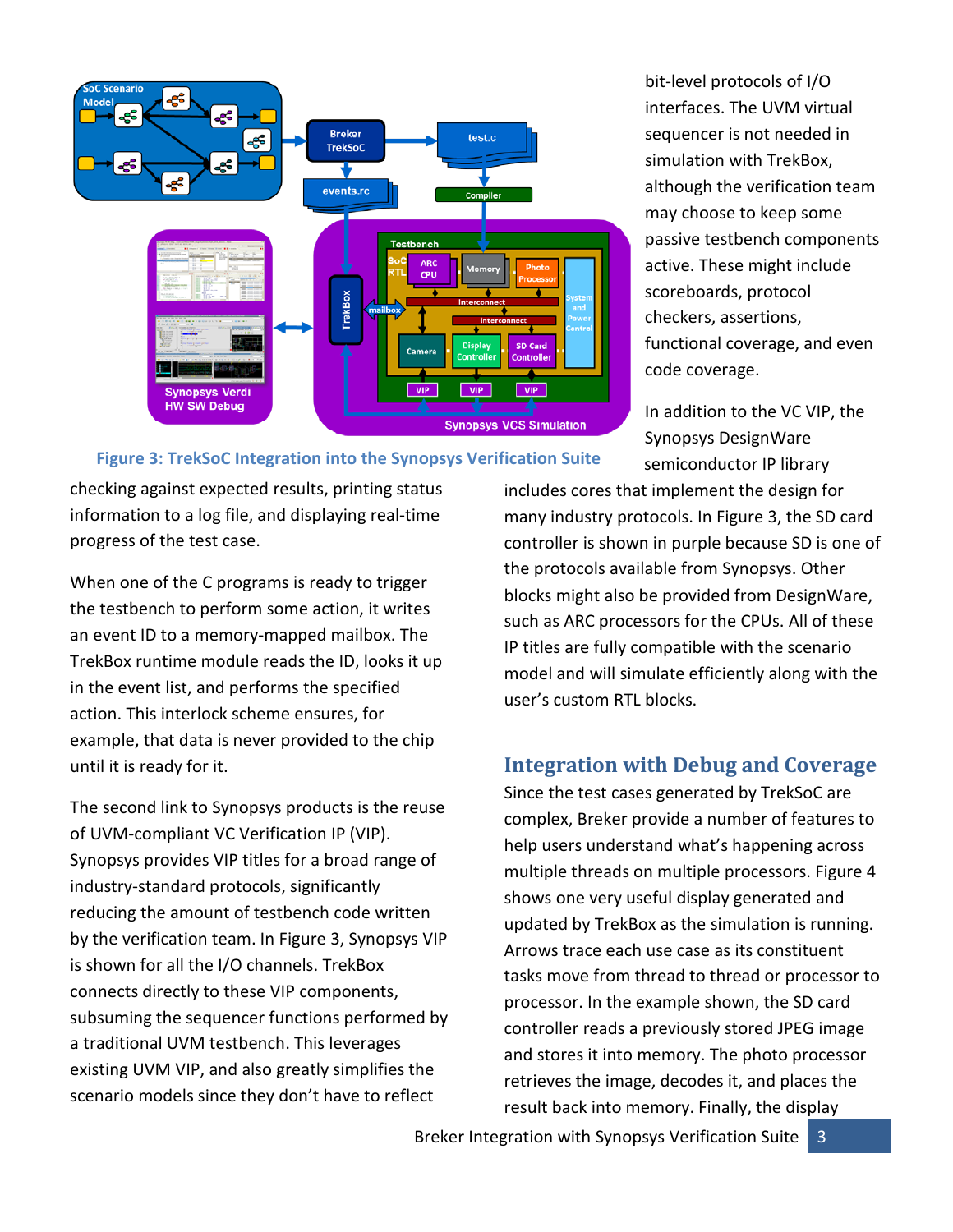

**Figure 3: TrekSoC Integration into the Synopsys Verification Suite**

bit-level protocols of I/O interfaces. The UVM virtual sequencer is not needed in simulation with TrekBox, although the verification team may choose to keep some passive testbench components active. These might include scoreboards, protocol checkers, assertions, functional coverage, and even code coverage.

In addition to the VC VIP, the Synopsys DesignWare semiconductor IP library

checking against expected results, printing status information to a log file, and displaying real-time progress of the test case.

When one of the C programs is ready to trigger the testbench to perform some action, it writes an event ID to a memory-mapped mailbox. The TrekBox runtime module reads the ID, looks it up in the event list, and performs the specified action. This interlock scheme ensures, for example, that data is never provided to the chip until it is ready for it.

The second link to Synopsys products is the reuse of UVM-compliant VC Verification IP (VIP). Synopsys provides VIP titles for a broad range of industry-standard protocols, significantly reducing the amount of testbench code written by the verification team. In Figure 3, Synopsys VIP is shown for all the I/O channels. TrekBox connects directly to these VIP components, subsuming the sequencer functions performed by a traditional UVM testbench. This leverages existing UVM VIP, and also greatly simplifies the scenario models since they don't have to reflect

includes cores that implement the design for many industry protocols. In Figure 3, the SD card controller is shown in purple because SD is one of the protocols available from Synopsys. Other blocks might also be provided from DesignWare, such as ARC processors for the CPUs. All of these IP titles are fully compatible with the scenario model and will simulate efficiently along with the user's custom RTL blocks.

# **Integration with Debug and Coverage**

Since the test cases generated by TrekSoC are complex, Breker provide a number of features to help users understand what's happening across multiple threads on multiple processors. Figure 4 shows one very useful display generated and updated by TrekBox as the simulation is running. Arrows trace each use case as its constituent tasks move from thread to thread or processor to processor. In the example shown, the SD card controller reads a previously stored JPEG image and stores it into memory. The photo processor retrieves the image, decodes it, and places the result back into memory. Finally, the display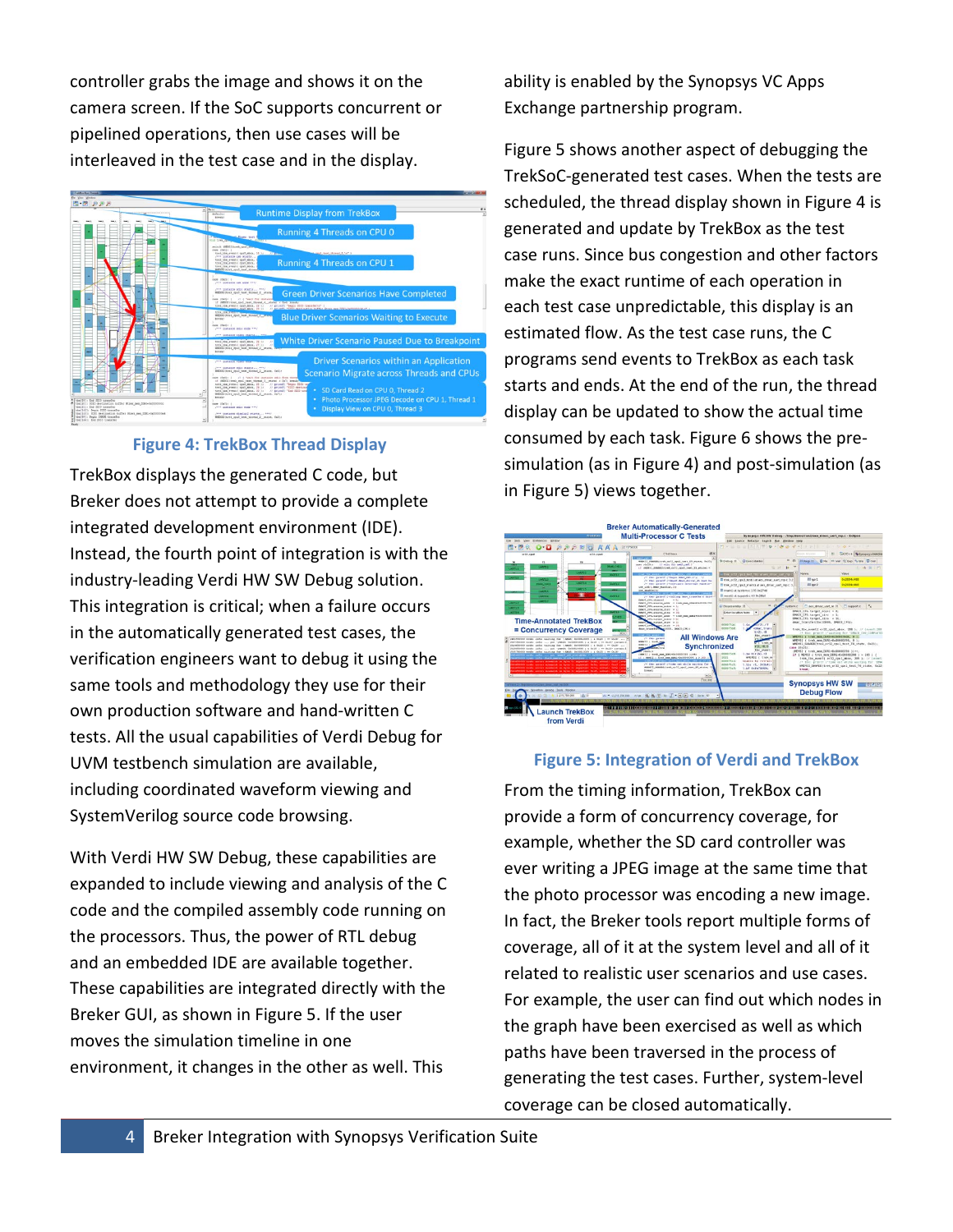controller grabs the image and shows it on the camera screen. If the SoC supports concurrent or pipelined operations, then use cases will be interleaved in the test case and in the display.



#### **Figure 4: TrekBox Thread Display**

TrekBox displays the generated C code, but Breker does not attempt to provide a complete integrated development environment (IDE). Instead, the fourth point of integration is with the industry-leading Verdi HW SW Debug solution. This integration is critical; when a failure occurs in the automatically generated test cases, the verification engineers want to debug it using the same tools and methodology they use for their own production software and hand-written C tests. All the usual capabilities of Verdi Debug for UVM testbench simulation are available, including coordinated waveform viewing and SystemVerilog source code browsing.

With Verdi HW SW Debug, these capabilities are expanded to include viewing and analysis of the C code and the compiled assembly code running on the processors. Thus, the power of RTL debug and an embedded IDE are available together. These capabilities are integrated directly with the Breker GUI, as shown in Figure 5. If the user moves the simulation timeline in one environment, it changes in the other as well. This

ability is enabled by the Synopsys VC Apps Exchange partnership program.

Figure 5 shows another aspect of debugging the TrekSoC-generated test cases. When the tests are scheduled, the thread display shown in Figure 4 is generated and update by TrekBox as the test case runs. Since bus congestion and other factors make the exact runtime of each operation in each test case unpredictable, this display is an estimated flow. As the test case runs, the C programs send events to TrekBox as each task starts and ends. At the end of the run, the thread display can be updated to show the actual time consumed by each task. Figure 6 shows the presimulation (as in Figure 4) and post-simulation (as in Figure 5) views together.



# From the timing information, TrekBox can provide a form of concurrency coverage, for example, whether the SD card controller was ever writing a JPEG image at the same time that the photo processor was encoding a new image. In fact, the Breker tools report multiple forms of coverage, all of it at the system level and all of it related to realistic user scenarios and use cases. For example, the user can find out which nodes in the graph have been exercised as well as which paths have been traversed in the process of generating the test cases. Further, system-level **Figure 5: Integration of Verdi and TrekBox**

coverage can be closed automatically.